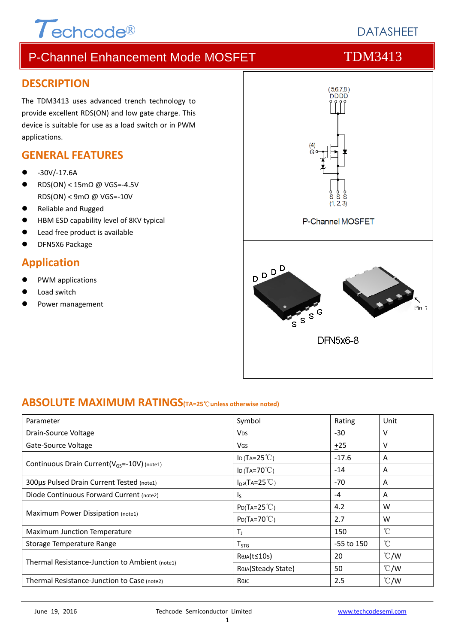# $\tau$ echcode®

# **DATASHEFT**

# P-Channel Enhancement Mode MOSFET TDM3413

#### **DESCRIPTION**

The TDM3413 uses advanced trench technology to provide excellent RDS(ON) and low gate charge. This device is suitable for use as a load switch or in PWM applications.

#### **GENERAL FEATURES**

- ‐30V/‐17.6A
- RDS(ON) < 15mΩ @ VGS=‐4.5V RDS(ON) < 9mΩ @ VGS=‐10V
- Reliable and Rugged
- HBM ESD capability level of 8KV typical
- Lead free product is available
- DFN5X6 Package

### **Application**

- PWM applications
- Load switch
- Power management



### **ABSOLUTE MAXIMUM RATINGS(TA=25**℃**unless otherwise noted)**

| Parameter                                               | Symbol                   | Rating       | Unit          |
|---------------------------------------------------------|--------------------------|--------------|---------------|
| Drain-Source Voltage                                    | <b>V<sub>DS</sub></b>    | $-30$        | v             |
| Gate-Source Voltage                                     | VGS                      | ±25          | v             |
|                                                         | ID (TA= $25^{\circ}$ C)  | $-17.6$      | A             |
| Continuous Drain Current(V <sub>GS</sub> =-10V) (note1) | ID (TA=70 $°C$ )         | $-14$        | A             |
| 300µs Pulsed Drain Current Tested (note1)               | $I_{DP}(TA=25^{\circ}C)$ | -70          | A             |
| Diode Continuous Forward Current (note2)                | I <sub>S</sub>           | -4           | A             |
|                                                         | $P_{D}(Ta=25^{\circ}C)$  | 4.2          | W             |
| Maximum Power Dissipation (note1)                       | $P_D(T_A=70^{\circ}C)$   | 2.7          | W             |
| <b>Maximum Junction Temperature</b>                     | T,                       | 150          | $^{\circ}$ C  |
| Storage Temperature Range                               | $T_{STG}$                | $-55$ to 150 | °C            |
|                                                         | ReJA(t≤10s)              | 20           | $\degree$ C/W |
| Thermal Resistance-Junction to Ambient (note1)          | ROJA(Steady State)       | 50           | $\degree$ C/W |
| Thermal Resistance-Junction to Case (note2)             | Rejc                     | 2.5          | $\degree$ C/W |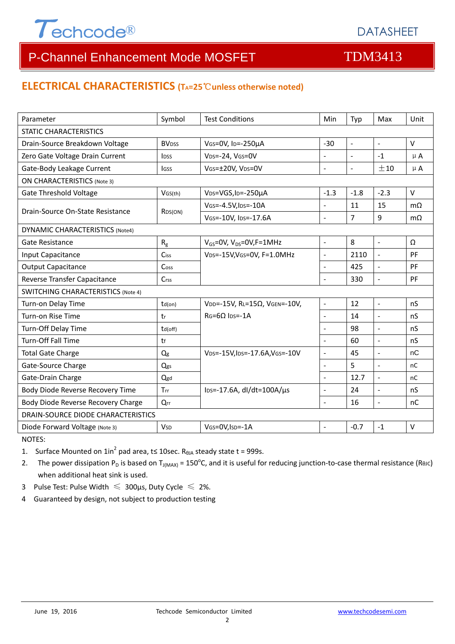

# P-Channel Enhancement Mode MOSFET TOM3413

#### **ELECTRICAL CHARACTERISTICS (TA=25**℃**unless otherwise noted)**

| Parameter                                 | Symbol                  | <b>Test Conditions</b>                       | Min                      | Typ            | Max                      | Unit      |  |  |
|-------------------------------------------|-------------------------|----------------------------------------------|--------------------------|----------------|--------------------------|-----------|--|--|
| <b>STATIC CHARACTERISTICS</b>             |                         |                                              |                          |                |                          |           |  |  |
| Drain-Source Breakdown Voltage            | <b>BV<sub>DSS</sub></b> | $-30$<br>VGS=0V, ID=-250µA                   |                          | $\sim$         | $\overline{\phantom{a}}$ | $\vee$    |  |  |
| Zero Gate Voltage Drain Current           | <b>IDSS</b>             | VDS=-24, VGS=0V                              | $\overline{a}$           | $\overline{a}$ | $-1$                     | $\mu$ A   |  |  |
| Gate-Body Leakage Current                 | lgss                    | VGS=±20V, VDS=0V                             | $\bar{\phantom{a}}$      | $\Box$         | ±10                      | $\mu$ A   |  |  |
| <b>ON CHARACTERISTICS (Note 3)</b>        |                         |                                              |                          |                |                          |           |  |  |
| <b>Gate Threshold Voltage</b>             | VGS(th)                 | V <sub>DS</sub> =VGS, I <sub>D</sub> =-250µA | $-1.3$                   | $-1.8$         | $-2.3$                   | $\vee$    |  |  |
| Drain-Source On-State Resistance          |                         | VGS=-4.5V, IDS=-10A                          | $\overline{\phantom{a}}$ | 11             | 15                       | $m\Omega$ |  |  |
|                                           | R <sub>DS</sub> (ON)    | VGS=-10V, IDS=-17.6A                         | $\overline{a}$           | 7              | 9                        | $m\Omega$ |  |  |
| DYNAMIC CHARACTERISTICS (Note4)           |                         |                                              |                          |                |                          |           |  |  |
| Gate Resistance                           | $R_{g}$                 | $V_{GS}$ =0V, V <sub>DS</sub> =0V, F=1MHz    | $\blacksquare$           | 8              | $\mathbb{L}$             | Ω         |  |  |
| Input Capacitance                         | Ciss                    | VDS=-15V, VGS=0V, F=1.0MHz                   | $\Box$                   | 2110           | $\Box$                   | PF        |  |  |
| <b>Output Capacitance</b>                 | Coss                    |                                              | $\overline{a}$           | 425            | $\overline{\phantom{a}}$ | PF        |  |  |
| Reverse Transfer Capacitance              | Crss                    |                                              | L.                       | 330            | $\overline{\phantom{a}}$ | PF        |  |  |
| <b>SWITCHING CHARACTERISTICS (Note 4)</b> |                         |                                              |                          |                |                          |           |  |  |
| Turn-on Delay Time                        | $td($ on $)$            | VDD=-15V, RL=15Ω, VGEN=-10V,                 | $\frac{1}{2}$            | 12             | $\overline{a}$           | nS        |  |  |
| Turn-on Rise Time                         | tr                      | $RG=6Q$ $Ins=.1A$                            | $\mathbf{r}$             | 14             | $\overline{a}$           | nS        |  |  |
| Turn-Off Delay Time                       | td(off)                 |                                              | $\sim$                   | 98             | $\blacksquare$           | nS        |  |  |
| <b>Turn-Off Fall Time</b>                 | tf                      |                                              | $\sim$                   | 60             | $\Box$                   | nS        |  |  |
| <b>Total Gate Charge</b>                  | Qg                      | VDS=-15V, IDS=-17.6A, VGS=-10V               | $\overline{a}$           | 45             | $\blacksquare$           | nC        |  |  |
| Gate-Source Charge                        | Qgs                     |                                              | $\overline{a}$           | 5              | $\overline{\phantom{a}}$ | nC        |  |  |
| Gate-Drain Charge                         | Qgd                     |                                              | $\overline{a}$           | 12.7           | $\overline{a}$           | nC        |  |  |
| Body Diode Reverse Recovery Time          | Trr                     | lps=-17.6A, dl/dt=100A/µs                    | $\blacksquare$           | 24             | $\frac{1}{2}$            | nS        |  |  |
| Body Diode Reverse Recovery Charge        | $Q_{rr}$                |                                              | $\overline{\phantom{a}}$ | 16             | $\Box$                   | nC        |  |  |
| DRAIN-SOURCE DIODE CHARACTERISTICS        |                         |                                              |                          |                |                          |           |  |  |
| Diode Forward Voltage (Note 3)            | <b>V<sub>SD</sub></b>   | VGS=0V, ISD=-1A                              |                          | $-0.7$         | $-1$                     | $\vee$    |  |  |

NOTES:

1. Surface Mounted on  $1in^2$  pad area, t≤ 10sec. R<sub>0JA</sub> steady state t = 999s.

2. The power dissipation P<sub>D</sub> is based on T<sub>J(MAX)</sub> = 150<sup>o</sup>C, and it is useful for reducing junction-to-case thermal resistance (ReJC) when additional heat sink is used.

- 3 Pulse Test: Pulse Width  $\leq 300$ μs, Duty Cycle  $\leq 2\%$ .
- 4 Guaranteed by design, not subject to production testing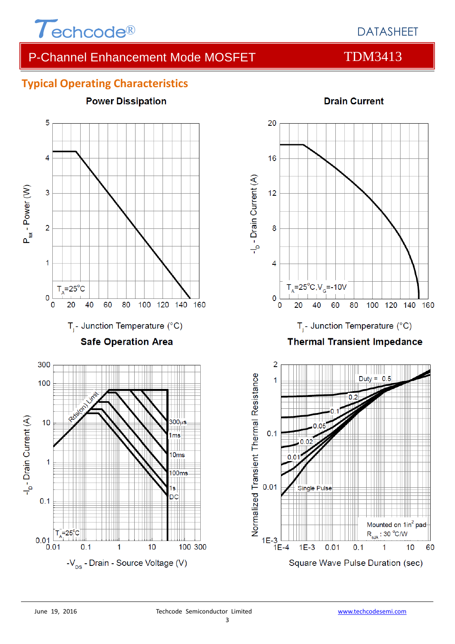

## DATASHEET

# P-Channel Enhancement Mode MOSFET TDM3413

### **Typical Operating Characteristics**





Mounted on 1in<sup>2</sup> pad  $R_{\text{eJA}}$ : 30 °C/W

 $10$ 

1

60

1E-3  $\Box$ <br>1E-4

 $1E-3$ 

 $0.01$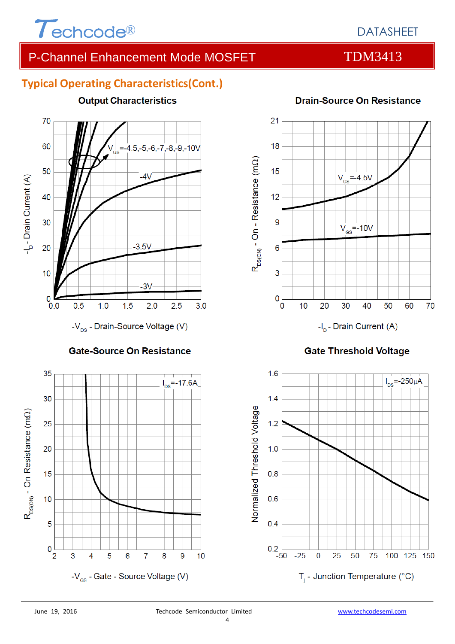

# DATASHEET

# P-Channel Enhancement Mode MOSFET TDM3413

### **Typical Operating Characteristics(Cont.)**

**Output Characteristics** 



-V<sub>ps</sub> - Drain-Source Voltage (V)

#### **Gate-Source On Resistance**





#### **Gate Threshold Voltage**



#### **Drain-Source On Resistance**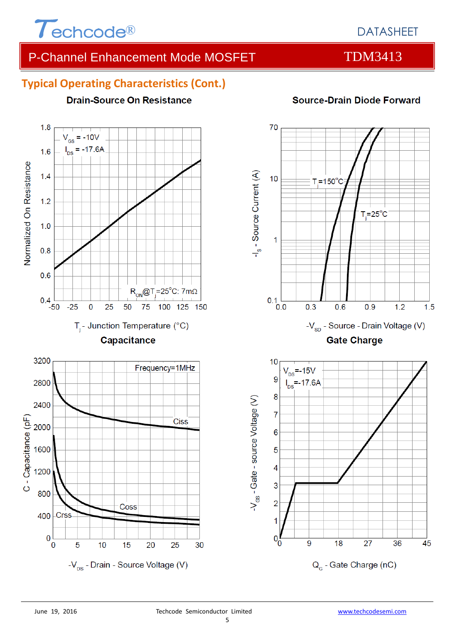

 $1.8$ 

# DATASHEET

# P-Channel Enhancement Mode MOSFET TDM3413

### **Typical Operating Characteristics (Cont.)**

**Drain-Source On Resistance** 

#### $V_{\text{gs}}$  = -10V  $I_{DS} = -17.6A$  $1.6$ Normalized On Resistance  $1.4$  $1.2$  $1.0$  $0.8$  $0.6$  $R_{ON}$ @T<sub>j</sub>=25°C: 7mΩ  $0.4$  $-25$  $\mathbf 0$ 25 50 75 100 125 150 -50  $T_i$ - Junction Temperature (°C) Capacitance 3200 Frequency=1MHz 2800 2400 C - Capacitance (pF) **Ciss** 2000 1600 1200 800 Coss **Crss** 400  $\bf{0}$ 5 0  $10$ 15 20 25 30 -V<sub>DS</sub> - Drain - Source Voltage (V)

### **Source-Drain Diode Forward**

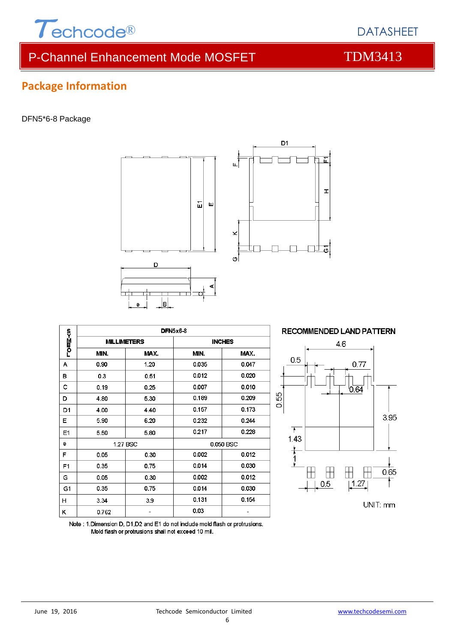

# P-Channel Enhancement Mode MOSFET TDM3413

# **Package Information**

#### DFN5\*6-8 Package

| п.<br> B <br>е |                    |          |               |       |  |  |  |  |
|----------------|--------------------|----------|---------------|-------|--|--|--|--|
|                | <b>DFN5x6-8</b>    |          |               |       |  |  |  |  |
| rom∑≺o         | <b>MILLIMETERS</b> |          | <b>INCHES</b> |       |  |  |  |  |
|                | MIN.               | MAX.     | MIN.          | MAX.  |  |  |  |  |
| А              | 0.90               | 1.20     | 0.035         | 0.047 |  |  |  |  |
| в              | 0.3                | 0.51     | 0.012         | 0.020 |  |  |  |  |
| с              | 0.19               | 0.25     | 0.007         | 0.010 |  |  |  |  |
| D              | 4.80               | 5.30     | 0.189         | 0.209 |  |  |  |  |
| D <sub>1</sub> | 4.00               | 4.40     | 0.157         | 0.173 |  |  |  |  |
| Е              | 5.90               | 6.20     | 0.232         | 0.244 |  |  |  |  |
| E1             | 5.50               | 5.80     | 0.217         | 0.228 |  |  |  |  |
| е              |                    | 1.27 BSC | 0.050 BSC     |       |  |  |  |  |
| F              | 0.05               | 0.30     | 0.002         | 0.012 |  |  |  |  |
| F <sub>1</sub> | 0.35               | 0.75     | 0.014         | 0.030 |  |  |  |  |
| G              | 0.05               | 0.30     | 0.002         | 0.012 |  |  |  |  |
| G <sub>1</sub> | 0.35               | 0.75     | 0.014         | 0.030 |  |  |  |  |
| н              | 3.34               | 3.9      | 0.131         | 0.154 |  |  |  |  |
| κ              | 0.762              |          | 0.03          |       |  |  |  |  |

Note: 1. Dimension D, D1, D2 and E1 do not include mold flash or protrusions.

Mold flash or protrusions shall not exceed 10 mil.

D

面 Ш





DATASHEET